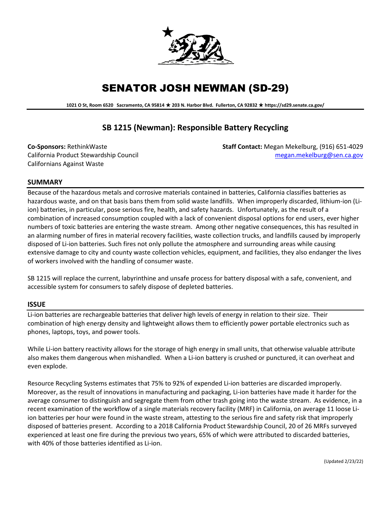

# SENATOR JOSH NEWMAN (SD-29)

**1021 O St, Room 6520 Sacramento, CA 95814 203 N. Harbor Blvd. Fullerton, CA 92832 https://sd29.senate.ca.gov/**

# **SB 1215 (Newman): Responsible Battery Recycling**

Californians Against Waste

**Co-Sponsors:** RethinkWaste **Staff Contact:** Megan Mekelburg, (916) 651-4029 California Product Stewardship Council [megan.mekelburg@sen.ca.gov](mailto:megan.mekelburg@sen.ca.gov)

# **SUMMARY**

Because of the hazardous metals and corrosive materials contained in batteries, California classifies batteries as hazardous waste, and on that basis bans them from solid waste landfills. When improperly discarded, lithium-ion (Liion) batteries, in particular, pose serious fire, health, and safety hazards. Unfortunately, as the result of a combination of increased consumption coupled with a lack of convenient disposal options for end users, ever higher numbers of toxic batteries are entering the waste stream. Among other negative consequences, this has resulted in an alarming number of fires in material recovery facilities, waste collection trucks, and landfills caused by improperly disposed of Li-ion batteries. Such fires not only pollute the atmosphere and surrounding areas while causing extensive damage to city and county waste collection vehicles, equipment, and facilities, they also endanger the lives of workers involved with the handling of consumer waste.

SB 1215 will replace the current, labyrinthine and unsafe process for battery disposal with a safe, convenient, and accessible system for consumers to safely dispose of depleted batteries.

#### **ISSUE**

Li-ion batteries are rechargeable batteries that deliver high levels of energy in relation to their size. Their combination of high energy density and lightweight allows them to efficiently power portable electronics such as phones, laptops, toys, and power tools.

While Li-ion battery reactivity allows for the storage of high energy in small units, that otherwise valuable attribute also makes them dangerous when mishandled. When a Li-ion battery is crushed or punctured, it can overheat and even explode.

Resource Recycling Systems estimates that 75% to 92% of expended Li-ion batteries are discarded improperly. Moreover, as the result of innovations in manufacturing and packaging, Li-ion batteries have made it harder for the average consumer to distinguish and segregate them from other trash going into the waste stream. As evidence, in a recent examination of the workflow of a single materials recovery facility (MRF) in California, on average 11 loose Liion batteries per hour were found in the waste stream, attesting to the serious fire and safety risk that improperly disposed of batteries present. According to a 2018 California Product Stewardship Council, 20 of 26 MRFs surveyed experienced at least one fire during the previous two years, 65% of which were attributed to discarded batteries, with 40% of those batteries identified as Li-ion.